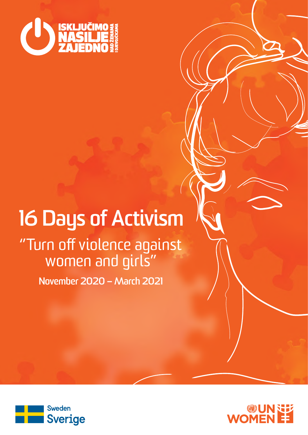

# **16 Days of Activism**

''Turn off violence against women and girls''

**November 2020 – March 2021** 



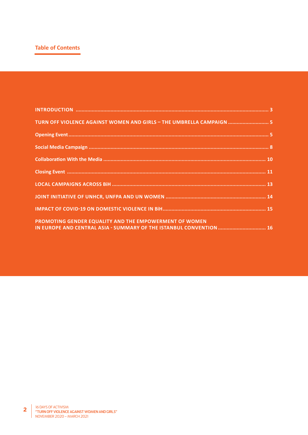#### **Table of Contents**

| TURN OFF VIOLENCE AGAINST WOMEN AND GIRLS - THE UMBRELLA CAMPAIGN  5 |  |  |
|----------------------------------------------------------------------|--|--|
|                                                                      |  |  |
|                                                                      |  |  |
|                                                                      |  |  |
|                                                                      |  |  |
|                                                                      |  |  |
| PROMOTING GENDER EQUALITY AND THE EMPOWERMENT OF WOMEN               |  |  |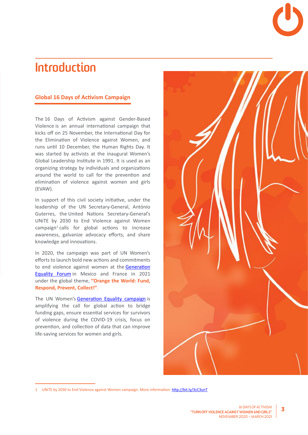# <span id="page-2-0"></span>**Introduction**

#### **Global 16 Days of Activism Campaign**

The 16 Days of Activism against [Gender-Based](https://16dayscampaign.org/) [Violence](https://16dayscampaign.org/) is an annual international campaign that kicks off on 25 November, the International Day for the Elimination of Violence against Women, and runs until 10 December, the Human Rights Day. It was started by activists at the inaugural Women's Global Leadership Institute in 1991. It is used as an organizing strategy by individuals and organizations around the world to call for the prevention and elimination of violence against women and girls (EVAW).

In support of this civil society initiative, under the leadership of the UN Secretary-General, António Guterres, the United Nations [Secretary-General's](https://www.unwomen.org/en/what-we-do/ending-violence-against-women/take-action/unite) [UNiTE by 2030 to End Violence against Women](https://www.unwomen.org/en/what-we-do/ending-violence-against-women/take-action/unite)  [campaign](https://www.unwomen.org/en/what-we-do/ending-violence-against-women/take-action/unite)<sup>1</sup> calls for global actions to increase awareness, galvanize advocacy efforts, and share knowledge and innovations.

In 2020, the campaign was part of UN Women's efforts to launch bold new actions and commitments to end violence against women at the [Generation](https://forum.generationequality.org/) [Equality](https://forum.generationequality.org/) Forum in Mexico and France in 2021 under the global theme, **[''Orange the World: Fund,](https://www.unwomen.org/-/media/headquarters/attachments/sections/what%20we%20do/evaw/unite%20campaign_2020_concept%20note_final.pdf?la=en&vs=2808)  [Respond, Prevent, Collect!"](https://www.unwomen.org/-/media/headquarters/attachments/sections/what%20we%20do/evaw/unite%20campaign_2020_concept%20note_final.pdf?la=en&vs=2808)**.

The UN Women's [Generation](https://www.unwomen.org/en/get-involved/beijing-plus-25) Equality campaign is amplifying the call for global action to bridge funding gaps, ensure essential services for survivors of violence during the COVID-19 crisis, focus on prevention, and collection of data that can improve life-saving services for women and girls.



<sup>1</sup> UNiTE by 2030 to End Violence against Women campaign. More information: <http://bit.ly/3cC3unT>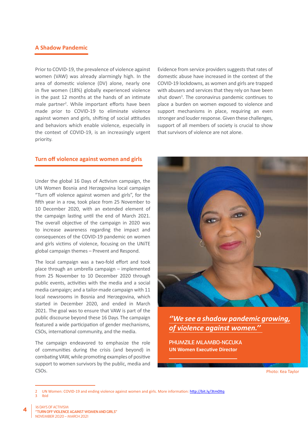#### **A Shadow Pandemic**

Prior to COVID-19, the prevalence of violence against women (VAW) was already alarmingly high. In the area of domestic violence (DV) alone, nearly one in five women (18%) globally experienced violence in the past 12 months at the hands of an intimate male partner<sup>2</sup>. While important efforts have been made prior to COVID-19 to eliminate violence against women and girls, shifting of social attitudes and behaviors which enable violence, especially in the context of COVID-19, is an increasingly urgent priority.

#### **Turn off violence against women and girls**

Under the global 16 Days of Activism campaign, the UN Women Bosnia and Herzegovina local campaign "Turn off violence against women and girls", for the fifth year in a row, took place from 25 November to 10 December 2020, with an extended element of the campaign lasting until the end of March 2021. The overall objective of the campaign in 2020 was to increase awareness regarding the impact and consequences of the COVID-19 pandemic on women and girls victims of violence, focusing on the UNiTE global campaign themes – Prevent and Respond.

The local campaign was a two-fold effort and took place through an umbrella campaign – implemented from 25 November to 10 December 2020 through public events, activities with the media and a social media campaign; and a tailor-made campaign with 11 local newsrooms in Bosnia and Herzegovina, which started in December 2020, and ended in March 2021. The goal was to ensure that VAW is part of the public discourse beyond these 16 Days. The campaign featured a wide participation of gender mechanisms, CSOs, international community, and the media.

The campaign endeavored to emphasize the role of communities during the crisis (and beyond) in combating VAW, while promoting examples of positive support to women survivors by the public, media and CSOs. Photo: Kea Taylor

Evidence from service providers suggests that rates of domestic abuse have increased in the context of the COVID-19 lockdowns, as women and girls are trapped with abusers and services that they rely on have been shut down<sup>3</sup>. The coronavirus pandemic continues to place a burden on women exposed to violence and support mechanisms in place, requiring an even stronger and louder response. Given these challenges, support of all members of society is crucial to show that survivors of violence are not alone.



*[''We see a shadow pandemic growing,](https://www.unwomen.org/en/news/stories/2020/4/statement-ed-phumzile-violence-against-women-during-pandemic?gclid=EAIaIQobChMIv96PrZGK7wIVjs13Ch3orANGEAAYASAAEgIdzPD_BwE) [of violence against women.''](https://www.unwomen.org/en/news/stories/2020/4/statement-ed-phumzile-violence-against-women-during-pandemic?gclid=EAIaIQobChMIv96PrZGK7wIVjs13Ch3orANGEAAYASAAEgIdzPD_BwE)* 

**PHUMZILE MLAMBO-NGCUKA UN Women Executive Director** 

2 UN Women: COVID-19 and ending violence against women and girls. More information: <http://bit.ly/3tm0Itq>

**4**

**Ibid**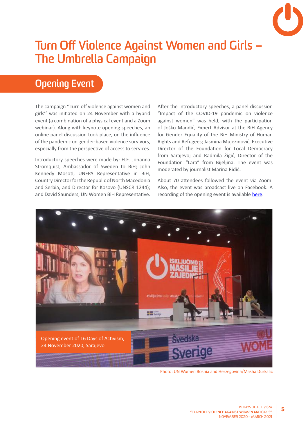

# <span id="page-4-0"></span>**Turn Off Violence Against Women and Girls – The Umbrella Campaign**

### **Opening Event**

The campaign ''Turn off violence against women and girls'' was initiated on 24 November with a hybrid event (a combination of a physical event and a Zoom webinar). Along with keynote opening speeches, an online panel discussion took place, on the influence of the pandemic on gender-based violence survivors, especially from the perspective of access to services.

Introductory speeches were made by: H.E. Johanna Strömquist, Ambassador of Sweden to BiH; John Kennedy Mosoti, UNFPA Representative in BiH, Country Director for the Republic of North Macedonia and Serbia, and Director for Kosovo (UNSCR 1244); and David Saunders, UN Women BiH Representative.

After the introductory speeches, a panel discussion "Impact of the COVID-19 pandemic on violence against women" was held, with the participation of Joško Mandić, Expert Advisor at the BiH Agency for Gender Equality of the BiH Ministry of Human Rights and Refugees; Jasmina Mujezinović, Executive Director of the Foundation for Local Democracy from Sarajevo; and Radmila Žigić, Director of the Foundation "Lara" from Bijeljina. The event was moderated by journalist Marina Riđić.

About 70 attendees followed the event via Zoom. Also, the event was broadcast live on Facebook. A recording of the opening event is available [here.](https://www.facebook.com/watch/live/?v=2022600807876725&ref=watch_permalink)



Photo: UN Women Bosnia and Herzegovina/Masha Durkalic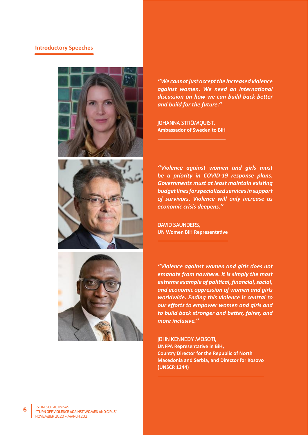#### **Introductory Speeches**







*''We cannot just accept the increased violence against women. We need an international discussion on how we can build back better and build for the future.''*

**JOHANNA STRÖMQUIST, Ambassador of Sweden to BiH**

*''Violence against women and girls must be a priority in COVID-19 response plans. Governments must at least maintain existing budget lines for specialized services in support of survivors. Violence will only increase as economic crisis deepens.''*

**DAVID SAUNDERS, UN Women BiH Representative** 

*''Violence against women and girls does not emanate from nowhere. It is simply the most extreme example of political, financial, social, and economic oppression of women and girls worldwide. Ending this violence is central to our efforts to empower women and girls and to build back stronger and better, fairer, and more inclusive.''*

**JOHN KENNEDY MOSOTI, UNFPA Representative in BiH, Country Director for the Republic of North Macedonia and Serbia, and Director for Kosovo (UNSCR 1244)** *the pandemic.''*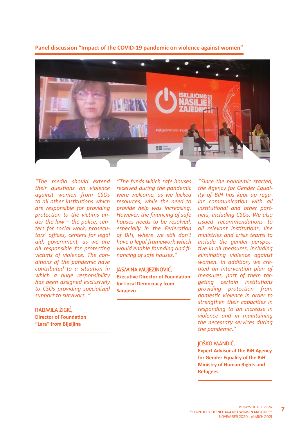**Panel discussion "Impact of the COVID-19 pandemic on violence against women"**

*"The media should extend their questions on violence against women from CSOs to all other institutions which are responsible for providing protection to the victims under the law – the police, centers for social work, prosecutors' offices, centers for legal aid, government, as we are all responsible for protecting victims of violence. The conditions of the pandemic have contributed to a situation in which a huge responsibility has been assigned exclusively to CSOs providing specialized support to survivors. "*

**RADMILA ŽIGIĆ, Director of Foundation "Lara" from Bijeljina**

*''The funds which safe houses received during the pandemic were welcome, as we lacked resources, while the need to provide help was increasing. However, the financing of safe houses needs to be resolved, especially in the Federation of BiH, where we still don't have a legal framework which would enable founding and financing of safe houses.''*

**JASMINA MUJEZINOVIĆ, Executive Director of Foundation for Local Democracy from Sarajevo**

*''Since the pandemic started, the Agency for Gender Equality of BiH has kept up regular communication with all institutional and other partners, including CSOs. We also issued recommendations to all relevant institutions, line ministries and crisis teams to include the gender perspective in all measures, including eliminating violence against women. In addition, we created an intervention plan of measures, part of them targeting certain institutions providing protection from domestic violence in order to strengthen their capacities in responding to an increase in violence and in maintaining the necessary services during the pandemic.''*

**JOŠKO MANDIĆ,** 

**Expert Advisor at the BiH Agency for Gender Equality of the BiH Ministry of Human Rights and Refugees**

**7**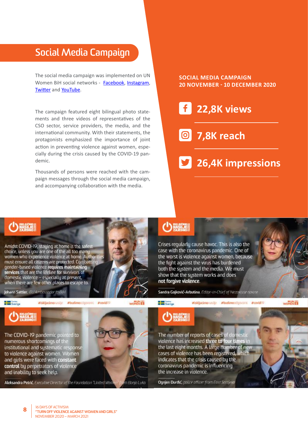### <span id="page-7-0"></span>**Social Media Campaign**

The social media campaign was implemented on UN Women BiH social networks - [Facebook](https://www.facebook.com/unwomenbih), [Instagram,](https://www.instagram.com/unwomenbih/
) [Twitter]( https://twitter.com/unwomenbih) and [YouTube](https://www.youtube.com/user/UNWOMENBiH).

The campaign featured eight bilingual photo statements and three videos of representatives of the CSO sector, service providers, the media, and the international community. With their statements, the protagonists emphasized the importance of joint action in preventing violence against women, especially during the crisis caused by the COVID-19 pandemic.

Thousands of persons were reached with the campaign messages through the social media campaign, and accompanying collaboration with the media.

#### **SOCIAL MEDIA CAMPAIGN 20 NOVEMBER - 10 DECEMBER 2020**



**7,8K reach**

### **26,4K impressions**

### 心靈圖

Amidst COVID-19, stauing at home is the safest choice, unless you are one of the all too many women who experience violence at home. Authorities must ensure all citizens are protected. Combatting gender-based violence requires maintaining services that are the lifeline for survivors of domestic violence - especially at present, when there are few other places to escape to.



### 心靈剛

Crises reqularly cause havoc. This is also the case with the coronavirus pandemic. One of the worst is violence against women, because the fight against the virus has burdened both the system and the media. We must show that the system works and does not forgive violence.

Sandra Gojković-Arbutina, Editor-in-Chief of Nezonisne novine

#iskljucimonastje #budimoodgoverni #covidl9

WOMEN<sup>ES</sup>



**Balling Second**<br>**Balling Scientists** 

Johann Sattler, FU Ambossador to BiH

**8**

#iskljucimonastije #budimoodgovomi #covid19.

**WOMENES** 

The COVID-19 pandemic pointed to numerous shortcomings of the institutional and systematic response<br>to violence against women. Women and girls were faced with constant control by perpetrators of violence and inability to seek help.

Aleksandra Petrić, Executive Director of the Foundation "United Worl n Bonjo Luko



**Balling Section** 

The number of reports of cases of domestic violence has increased three to four times in the last eight months. A large number of new cases of violence has been registered, which indicates that the crisis caused by the coronavirus pandemic is influencing the increase in violence.

Ognjen Đurđić, police officer from East Sarajeva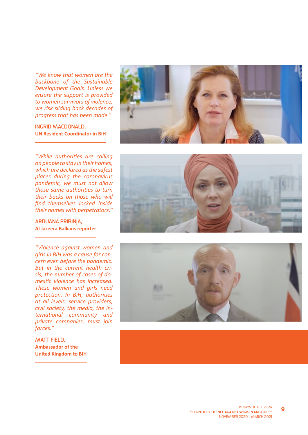*"We know that women are the backbone of the Sustainable Development Goals. Unless we ensure the support is provided to women survivors of violence, we risk sliding back decades of progress that has been made."*

**[INGRID MACDONALD,](https://youtu.be/Kipaq4NMFG4)  [UN Resident Coordinator in BiH](https://youtu.be/Kipaq4NMFG4)**

*"While authorities are calling on people to stay in their homes, which are declared as the safest places during the coronavirus pandemic, we must not allow those same authorities to turn their backs on those who will find themselves locked inside their homes with perpetrators."*

#### **[ARDUANA PRIBINJA,](https://youtu.be/xYcpUTRPLaY)  [Al Jazeera Balkans reporter](https://youtu.be/xYcpUTRPLaY)**

*"Violence against women and girls in BiH was a cause for con cern even before the pandemic. But in the current health cri sis, the number of cases of do mestic violence has increased. These women and girls need protection. In BiH, authorities at all levels, service providers, civil society, the media, the in ternational community and private companies, must join forces."*

**[MATT FIELD,](https://youtu.be/bgtF_n19Rh0)  [Ambassador of the](https://youtu.be/bgtF_n19Rh0)  [United Kingdom to BiH](https://youtu.be/bgtF_n19Rh0)** 





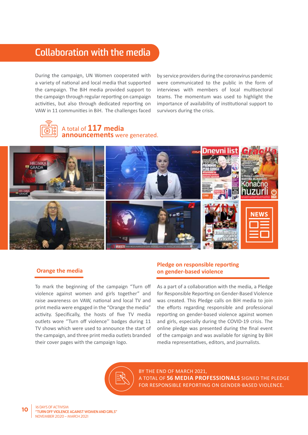### <span id="page-9-0"></span>**Collaboration with the media**

During the campaign, UN Women cooperated with a variety of national and local media that supported the campaign. The BiH media provided support to the campaign through regular reporting on campaign activities, but also through dedicated reporting on VAW in 11 communities in BiH. The challenges faced by service providers during the coronavirus pandemic were communicated to the public in the form of interviews with members of local multisectoral teams. The momentum was used to highlight the importance of availability of institutional support to survivors during the crisis.





#### **Orange the media**

To mark the beginning of the campaign "Turn off violence against women and girls together" and raise awareness on VAW, national and local TV and print media were engaged in the "Orange the media" activity. Specifically, the hosts of five TV media outlets wore ''Turn off violence'' badges during 11 TV shows which were used to announce the start of the campaign, and three print media outlets branded their cover pages with the campaign logo.

#### **Pledge on responsible reporting on gender-based violence**

As a part of a collaboration with the media, a Pledge for Responsible Reporting on Gender-Based Violence was created. This Pledge calls on BiH media to join the efforts regarding responsible and professional reporting on gender-based violence against women and girls, especially during the COVID-19 crisis. The online pledge was presented during the final event of the campaign and was available for signing by BiH media representatives, editors, and journalists.



BY THE END OF MARCH 2021, A TOTAL OF **56 MEDIA PROFESSIONALS** SIGNED THE PLEDGE FOR RESPONSIBLE REPORTING ON GENDER-BASED VIOLENCE.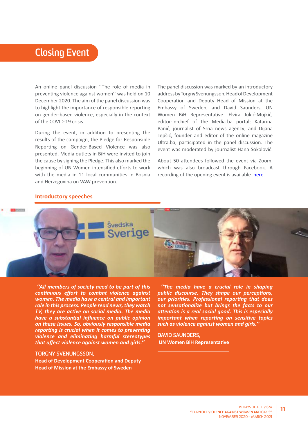### <span id="page-10-0"></span>**Closing Event**

An online panel discussion ''The role of media in preventing violence against women'' was held on 10 December 2020. The aim of the panel discussion was to highlight the importance of responsible reporting on gender-based violence, especially in the context of the COVID-19 crisis.

During the event, in addition to presenting the results of the campaign, the Pledge for Responsible Reporting on Gender-Based Violence was also presented. Media outlets in BiH were invited to join the cause by signing the Pledge. This also marked the beginning of UN Women intensified efforts to work with the media in 11 local communities in Bosnia and Herzegovina on VAW prevention.

The panel discussion was marked by an introductory addressbyTorgnySvenungsson,HeadofDevelopment Cooperation and Deputy Head of Mission at the Embassy of Sweden, and David Saunders, UN Women BiH Representative. Elvira Jukić-Mujkić, editor-in-chief of the Media.ba portal; Katarina Panić, journalist of Srna news agency; and Dijana Tepšić, founder and editor of the online magazine Ultra.ba, participated in the panel discussion. The event was moderated by journalist Hana Sokolović.

About 50 attendees followed the event via Zoom, which was also broadcast through Facebook. A recording of the opening event is available [here](https://www.facebook.com/watch/live/?v=3460723827310877&ref=watch_permalink).

#### **Introductory speeches**



 *''All members of society need to be part of this continuous effort to combat violence against women. The media have a central and important role in this process. People read news, they watch TV, they are active on social media. The media have a substantial influence on public opinion on these issues. So, obviously responsible media reporting is crucial when it comes to preventing violence and eliminating harmful stereotypes that affect violence against women and girls.''*

#### **TORGNY SVENUNGSSON,**

**Head of Development Cooperation and Deputy Head of Mission at the Embassy of Sweden**

 *''The media have a crucial role in shaping public discourse. They shape our perceptions, our priorities. Professional reporting that does not sensationalize but brings the facts to our attention is a real social good. This is especially important when reporting on sensitive topics such as violence against women and girls.''*

**DAVID SAUNDERS, UN Women BiH Representative**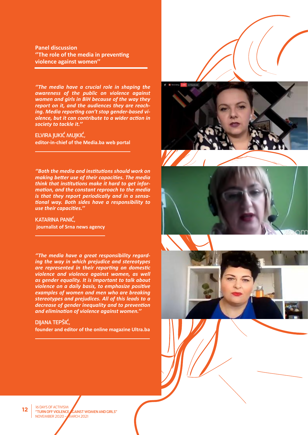**Panel discussion ''The role of the media in preventing violence against women''**

*''The media have a crucial role in shaping the awareness of the public on violence against women and girls in BiH because of the way they report on it, and the audiences they are reaching. Media reporting can't stop gender-based violence, but it can contribute to a wider action in society to tackle it.''* 

**ELVIRA JUKIĆ MUJKIĆ, editor-in-chief of the Media.ba web portal**

*''Both the media and institutions should work on making better use of their capacities. The media think that institutions make it hard to get information, and the constant reproach to the media is that they report periodically and in a sensational way. Both sides have a responsibility to use their capacities.''* 

**KATARINA PANIĆ, journalist of Srna news agency**

*''The media have a great responsibility regarding the way in which prejudice and stereotypes are represented in their reporting on domestic violence and violence against women, as well as gender equality. It is important to talk about violence on a daily basis, to emphasize positive examples of women and men who are breaking stereotypes and prejudices. All of this leads to a decrease of gender inequality and to prevention and elimination of violence against women.''* 

#### **DIJANA TEPŠIĆ,**

**founder and editor of the online magazine Ultra.ba**



16 DAYS OF ACTIVISM<br>"TURN OFF VIOLENCE **GAINST WOMEN AND GIRLS"** NOVEMBER 2020 – MARCH 2021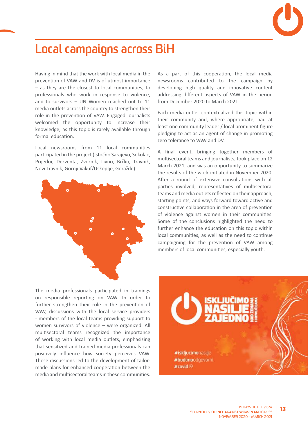

# <span id="page-12-0"></span>**Local campaigns across BiH**

Having in mind that the work with local media in the prevention of VAW and DV is of utmost importance – as they are the closest to local communities, to professionals who work in response to violence, and to survivors – UN Women reached out to 11 media outlets across the country to strengthen their role in the prevention of VAW. Engaged journalists welcomed the opportunity to increase their knowledge, as this topic is rarely available through formal education.

Local newsrooms from 11 local communities participated in the project (Istočno Sarajevo, Sokolac, Prijedor, Derventa, Zvornik, Livno, Brčko, Travnik, Novi Travnik, Gornji Vakuf/Uskoplje, Goražde).



The media professionals participated in trainings on responsible reporting on VAW. In order to further strengthen their role in the prevention of VAW, discussions with the local service providers - members of the local teams providing support to women survivors of violence – were organized. All multisectoral teams recognized the importance of working with local media outlets, emphasizing that sensitized and trained media professionals can positively influence how society perceives VAW. These discussions led to the development of tailormade plans for enhanced cooperation between the media and multisectoral teams in these communities.

As a part of this cooperation, the local media newsrooms contributed to the campaign by developing high quality and innovative content addressing different aspects of VAW in the period from December 2020 to March 2021.

Each media outlet contextualized this topic within their community and, where appropriate, had at least one community leader / local prominent figure pledging to act as an agent of change in promoting zero tolerance to VAW and DV.

A final event, bringing together members of multisectoral teams and journalists, took place on 12 March 2021, and was an opportunity to summarize the results of the work initiated in November 2020. After a round of extensive consultations with all parties involved, representatives of multisectoral teams and media outlets reflected on their approach. starting points, and ways forward toward active and constructive collaboration in the area of prevention of violence against women in their communities. Some of the conclusions highlighted the need to further enhance the education on this topic within local communities, as well as the need to continue campaigning for the prevention of VAW among members of local communities, especially youth.

> #iskljucimonasilje #budimoodgovorni #covid<sup>19</sup>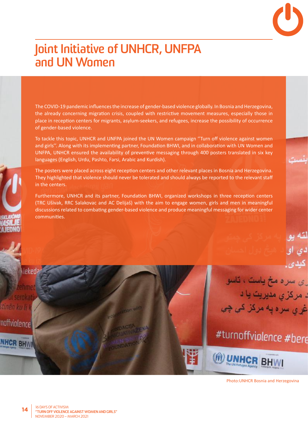# <span id="page-13-0"></span>**Joint Initiative of UNHCR, UNFPA and UN Women**

The COVID-19 pandemic influencesthe increase of gender-based violence globally. In Bosnia and Herzegovina, the already concerning migration crisis, coupled with restrictive movement measures, especially those in place in reception centers for migrants, asylum-seekers, and refugees, increase the possibility of occurrence of gender-based violence.

To tackle this topic, UNHCR and UNFPA joined the UN Women campaign ''Turn off violence against women and girls''. Along with its implementing partner, Foundation BHWI, and in collaboration with UN Women and UNFPA, UNHCR ensured the availability of preventive messaging through 400 posters translated in six key languages (English, Urdu, Pashto, Farsi, Arabic and Kurdish).

The posters were placed across eight reception centers and other relevant places in Bosnia and Herzegovina. They highlighted that violence should never be tolerated and should always be reported to the relevant staff in the centers.

Furthermore, UNHCR and its partner, Foundation BHWI, organized workshops in three reception centers (TRC Ušivak, RRC Salakovac and AC Delijaš) with the aim to engage women, girls and men in meaningful discussions related to combating gender-based violence and produce meaningful messaging for wider center communities.

Photo:UNHCR Bosnia and Herzegovina

**CR BHWI** 

#turnoffviolence #bere

<sub>ر</sub>ې سره مخ پاست ، تاسو<br>د مرکزي مډيريت يا د

غړی سره په مرکز ک*ې چې* 





noffviolence

**NHCR BHW**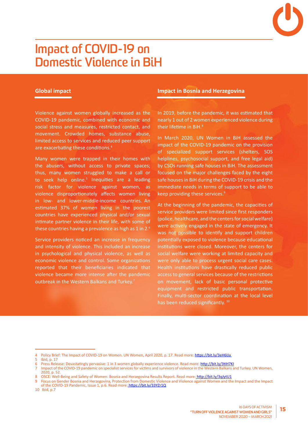# <span id="page-14-0"></span>**Impact of COVID-19 on Domestic Violence in BiH**

#### **Global impact**

Violence against women globally increased as the COVID-19 pandemic, combined with economic and social stress and measures, restricted contact, and movement. Crowded homes, substance abuse, limited access to services and reduced peer support are exacerbating these conditions.4

Many women were trapped in their homes with the abusers, without access to private spaces; thus, many women struggled to make a call or to seek help online.<sup>5</sup> Inequities are a leading risk factor for violence against women, as violence disproportionately affects women living in low- and lower-middle-income countries. An estimated 37% of women living in the poorest countries have experienced physical and/or sexual intimate partner violence in their life, with some of these countries having a prevalence as high as 1 in 2.<sup>6</sup>

Service providers noticed an increase in frequency and intensity of violence. This included an increase in psychological and physical violence, as well as economic violence and control. Some organizations reported that their beneficiaries indicated that violence became more intense after the pandemic outbreak in the Western Balkans and Turkey.<sup>7</sup>

#### **Impact in Bosnia and Herzegovina**

In 2019, before the pandemic, it was estimated that nearly 1 out of 2 women experienced violence during their lifetime in BiH.<sup>8</sup>

In March 2020, UN Women in BiH assessed the impact of the COVID-19 pandemic on the provision of specialized support services (shelters, SOS helplines, psychosocial support, and free legal aid) by CSOs running safe houses in BiH. The assessment focused on the major challenges faced by the eight safe houses in BiH during the COVID-19 crisis and the immediate needs in terms of support to be able to keep providing these services.9

At the beginning of the pandemic, the capacities of service providers were limited since first responders (police, healthcare, and the centers for social welfare) were actively engaged in the state of emergency. It was not possible to identify and support children potentially exposed to violence because educational institutions were closed. Moreover, the centers for social welfare were working at limited capacity and were only able to process urgent social care cases. Health institutions have drastically reduced public access to general services because of the restrictions on movement, lack of basic personal protective equipment and restricted public transportation. Finally, multi-sector coordination at the local level has been reduced significantly.<sup>10</sup>

<sup>4</sup> Policy Brief: The Impact of COVID-19 on Women. UN Women, April 2020, p. 17. Read more: [https://bit.ly/3eH6IJa](https://bit.ly/3eH6IJa )

Ibid, p. 17

Press Release: Devastatingly pervasive: 1 in 3 women globally experience violence. Read more: <http://bit.ly/3tiH7KI>

Impact of the COVID-19 pandemic on specialist services for victims and survivors of violence in the Western Balkans and Turkey. UN Women, 2020, p. 52.

<sup>8</sup> OSCE: Well-Being and Safety of Women: Bosnia and Herzegovina Results Report. Read more: [http://bit.ly/3qJytU1]( http://bit.ly/3qJytU1)

Focus on Gender Bosnia and Herzegovina, Protection from Domestic Violence and Violence against Women and the Impact and the Impact of the COVID-19 Pandemic, Issue 1, p.6. Read more: [https://bit.ly/33YZr1Q]( https://bit.ly/33YZr1Q)

<sup>10</sup> Ibid, p.7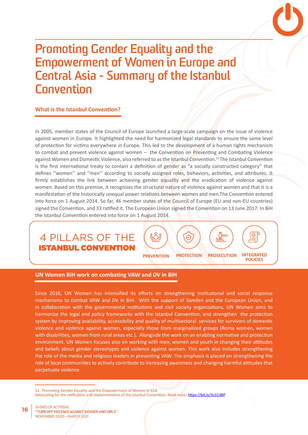

# <span id="page-15-0"></span>**Promoting Gender Equality and the Empowerment of Women in Europe and Central Asia - Summary of the Istanbul Convention**

#### **What is the Istanbul Convention?**

In 2005, member states of the Council of Europe launched a large-scale campaign on the issue of violence against women in Europe. It highlighted the need for harmonized legal standards to ensure the same level of protection for victims everywhere in Europe. This led to the development of a human rights mechanism to combat and prevent violence against women – the Convention on Preventing and Combating Violence against Women and Domestic Violence, also referred to as the Istanbul Convention.<sup>11</sup> The Istanbul Convention is the first international treaty to contain a definition of gender as "a socially constructed category" that defines ''women'' and ''men'' according to socially assigned roles, behaviors, activities, and attributes. It firmly establishes the link between achieving gender equality and the eradication of violence against women. Based on this premise, it recognizes the structural nature of violence against women and that it is a manifestation of the historically unequal power relations between women and men.The Convention entered into force on 1 August 2014. So far, 46 member states of the Council of Europe (EU and non-EU countries) signed the Convention, and 33 ratified it. The European Union signed the Convention on 13 June 2017. In BiH the Istanbul Convention entered into force on 1 August 2014.



#### **UN Women BiH work on combating VAW and DV in BiH**

Since 2016, UN Women has intensified its efforts on strengthening institutional and social response mechanisms to combat VAW and DV in BiH. With the support of Sweden and the European Union, and in collaboration with the governmental institutions and civil society organizations, UN Women aims to harmonize the legal and policy frameworks with the Istanbul Convention, and strengthen the protection system by improving availability, accessibility and quality of multisectoral services for survivors of domestic violence and violence against women, especially those from marginalized groups (Roma women, women with disabilities, women from rural areas etc.). Alongside the work on an enabling normative and protection environment, UN Women focuses also on working with men, women and youth in changing their attitudes and beliefs about gender stereotypes and violence against women. This work also includes strengthening the role of the media and religious leaders in preventing VAW. The emphasis is placed on strengthening the role of local communities to actively contribute to increasing awareness and changing harmful attitudes that perpetuate violence.

**16**

<sup>11</sup> Promoting Gender Equality and the Empowerment of Women in ECA Advocating for the ratification and implementation of the Istanbul Convention. Read more: <https://bit.ly/3s1CdBP>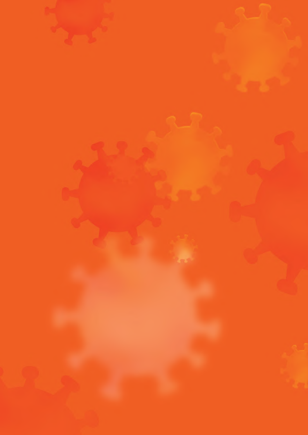